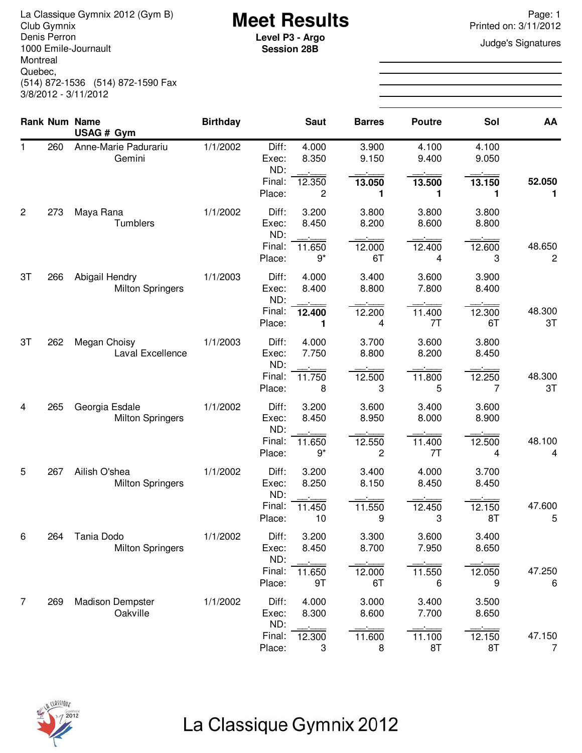La Classique Gymnix 2012 (Gym B)<br>Club Gymnix Page: 1<br>Denis Perron **Page: 1**<br>Denis Perron **Page: 1**<br>Level **P3 - Argo** Denis Perron 1000 Emile-Journault Montreal Quebec, (514) 872-1536 (514) 872-1590 Fax 3/8/2012 - 3/11/2012

**Session 28B**

Printed on: 3/11/2012

**Judge's Signatures** 

|                |     | <b>Rank Num Name</b><br>USAG # Gym        | <b>Birthday</b> |                         | <b>Saut</b>    | <b>Barres</b>  | <b>Poutre</b>  | Sol            | AA                       |
|----------------|-----|-------------------------------------------|-----------------|-------------------------|----------------|----------------|----------------|----------------|--------------------------|
| 1              | 260 | Anne-Marie Padurariu<br>Gemini            | 1/1/2002        | Diff:<br>Exec:<br>ND:   | 4.000<br>8.350 | 3.900<br>9.150 | 4.100<br>9.400 | 4.100<br>9.050 |                          |
|                |     |                                           |                 | Final:<br>Place:        | 12.350<br>2    | 13.050<br>1    | 13.500<br>1    | 13.150<br>1    | 52.050<br>1              |
| $\overline{2}$ | 273 | Maya Rana<br>Tumblers                     | 1/1/2002        | Diff:<br>Exec:<br>ND:   | 3.200<br>8.450 | 3.800<br>8.200 | 3.800<br>8.600 | 3.800<br>8.800 |                          |
|                |     |                                           |                 | Final:<br>Place:        | 11.650<br>$9*$ | 12.000<br>6T   | 12.400<br>4    | 12.600<br>3    | 48.650<br>$\overline{c}$ |
| 3T             | 266 | Abigail Hendry<br><b>Milton Springers</b> | 1/1/2003        | Diff:<br>Exec:<br>ND:   | 4.000<br>8.400 | 3.400<br>8.800 | 3.600<br>7.800 | 3.900<br>8.400 |                          |
|                |     |                                           |                 | Final:<br>Place:        | 12.400<br>1    | 12.200<br>4    | 11.400<br>7T   | 12.300<br>6T   | 48.300<br>3T             |
| 3T             | 262 | Megan Choisy<br>Laval Excellence          | 1/1/2003        | Diff:<br>Exec:<br>ND:   | 4.000<br>7.750 | 3.700<br>8.800 | 3.600<br>8.200 | 3.800<br>8.450 |                          |
|                |     |                                           |                 | Final:<br>Place:        | 11.750<br>8    | 12.500<br>3    | 11.800<br>5    | 12.250<br>7    | 48.300<br>3T             |
| 4              | 265 | Georgia Esdale<br><b>Milton Springers</b> | 1/1/2002        | Diff:<br>Exec:<br>ND:   | 3.200<br>8.450 | 3.600<br>8.950 | 3.400<br>8.000 | 3.600<br>8.900 |                          |
|                |     |                                           |                 | Final:<br>Place:        | 11.650<br>$9*$ | 12.550<br>2    | 11.400<br>7T   | 12.500<br>4    | 48.100<br>4              |
| 5              | 267 | Ailish O'shea<br><b>Milton Springers</b>  | 1/1/2002        | Diff:<br>Exec:<br>ND:   | 3.200<br>8.250 | 3.400<br>8.150 | 4.000<br>8.450 | 3.700<br>8.450 |                          |
|                |     |                                           |                 | Final:<br>Place:        | 11.450<br>10   | 11.550<br>9    | 12.450<br>3    | 12.150<br>8T   | 47.600<br>5              |
| 6              | 264 | Tania Dodo<br><b>Milton Springers</b>     | 1/1/2002        | Diff:<br>Exec:          | 3.200<br>8.450 | 3.300<br>8.700 | 3.600<br>7.950 | 3.400<br>8.650 |                          |
|                |     |                                           |                 | ND:<br>Final:<br>Place: | 11.650<br>9T   | 12.000<br>6T   | 11.550<br>6    | 12.050<br>9    | 47.250<br>6              |
| 7              | 269 | <b>Madison Dempster</b><br>Oakville       | 1/1/2002        | Diff:<br>Exec:          | 4.000<br>8.300 | 3.000<br>8.600 | 3.400<br>7.700 | 3.500<br>8.650 |                          |
|                |     |                                           |                 | ND:<br>Final:<br>Place: | 12.300<br>3    | 11.600<br>8    | 11.100<br>8T   | 12.150<br>8T   | 47.150<br>$\overline{7}$ |

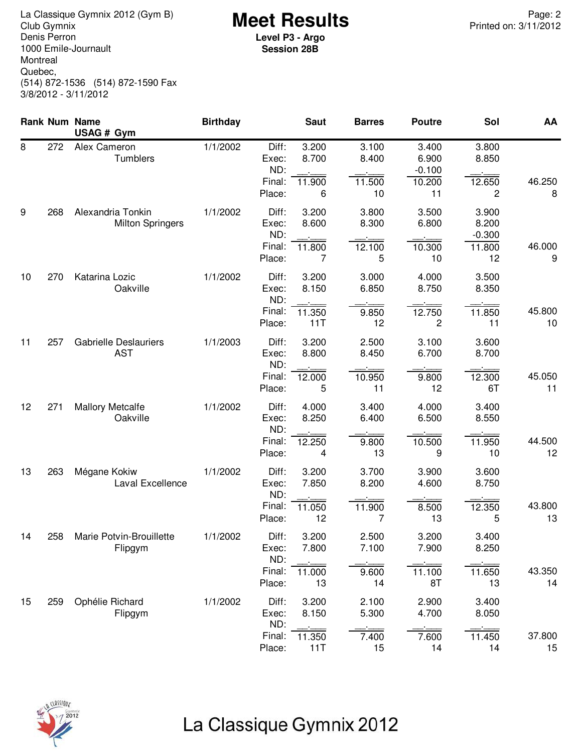**Meet Results** La Classique Gymnix 2012 (Gym B) Page: 2 Denis Perron 1000 Emile-Journault Montreal Quebec, (514) 872-1536 (514) 872-1590 Fax 3/8/2012 - 3/11/2012

**Level P3 - Argo Session 28B**

|    |     | Rank Num Name<br>USAG # Gym                  | <b>Birthday</b> |                                           | <b>Saut</b>                     | <b>Barres</b>                  | <b>Poutre</b>                              | Sol                                        | AA           |
|----|-----|----------------------------------------------|-----------------|-------------------------------------------|---------------------------------|--------------------------------|--------------------------------------------|--------------------------------------------|--------------|
| 8  | 272 | Alex Cameron<br>Tumblers                     | 1/1/2002        | Diff:<br>Exec:<br>ND:<br>Final:<br>Place: | 3.200<br>8.700<br>11.900<br>6   | 3.100<br>8.400<br>11.500<br>10 | 3.400<br>6.900<br>$-0.100$<br>10.200<br>11 | 3.800<br>8.850<br>12.650<br>2              | 46.250<br>8  |
| 9  | 268 | Alexandria Tonkin<br><b>Milton Springers</b> | 1/1/2002        | Diff:<br>Exec:<br>ND:<br>Final:<br>Place: | 3.200<br>8.600<br>11.800<br>7   | 3.800<br>8.300<br>12.100<br>5  | 3.500<br>6.800<br>10.300<br>10             | 3.900<br>8.200<br>$-0.300$<br>11.800<br>12 | 46.000<br>9  |
| 10 | 270 | Katarina Lozic<br>Oakville                   | 1/1/2002        | Diff:<br>Exec:<br>ND:<br>Final:<br>Place: | 3.200<br>8.150<br>11.350<br>11T | 3.000<br>6.850<br>9.850<br>12  | 4.000<br>8.750<br>12.750<br>2              | 3.500<br>8.350<br>11.850<br>11             | 45.800<br>10 |
| 11 | 257 | <b>Gabrielle Deslauriers</b><br><b>AST</b>   | 1/1/2003        | Diff:<br>Exec:<br>ND:<br>Final:<br>Place: | 3.200<br>8.800<br>12.000<br>5   | 2.500<br>8.450<br>10.950<br>11 | 3.100<br>6.700<br>9.800<br>12              | 3.600<br>8.700<br>12.300<br>6T             | 45.050<br>11 |
| 12 | 271 | <b>Mallory Metcalfe</b><br>Oakville          | 1/1/2002        | Diff:<br>Exec:<br>ND:<br>Final:<br>Place: | 4.000<br>8.250<br>12.250<br>4   | 3.400<br>6.400<br>9.800<br>13  | 4.000<br>6.500<br>10.500<br>9              | 3.400<br>8.550<br>11.950<br>10             | 44.500<br>12 |
| 13 | 263 | Mégane Kokiw<br>Laval Excellence             | 1/1/2002        | Diff:<br>Exec:<br>ND:<br>Final:<br>Place: | 3.200<br>7.850<br>11.050<br>12  | 3.700<br>8.200<br>11.900<br>7  | 3.900<br>4.600<br>8.500<br>13              | 3.600<br>8.750<br>12.350<br>5              | 43.800<br>13 |
| 14 | 258 | Marie Potvin-Brouillette<br>Flipgym          | 1/1/2002        | Diff:<br>Exec:<br>ND:<br>Final:<br>Place: | 3.200<br>7.800<br>11.000<br>13  | 2.500<br>7.100<br>9.600<br>14  | 3.200<br>7.900<br>11.100<br>8T             | 3.400<br>8.250<br>11.650<br>13             | 43.350<br>14 |
| 15 | 259 | Ophélie Richard<br>Flipgym                   | 1/1/2002        | Diff:<br>Exec:<br>ND:<br>Final:<br>Place: | 3.200<br>8.150<br>11.350<br>11T | 2.100<br>5.300<br>7.400<br>15  | 2.900<br>4.700<br>7.600<br>14              | 3.400<br>8.050<br>11.450<br>14             | 37.800<br>15 |



## La Classique Gymnix 2012